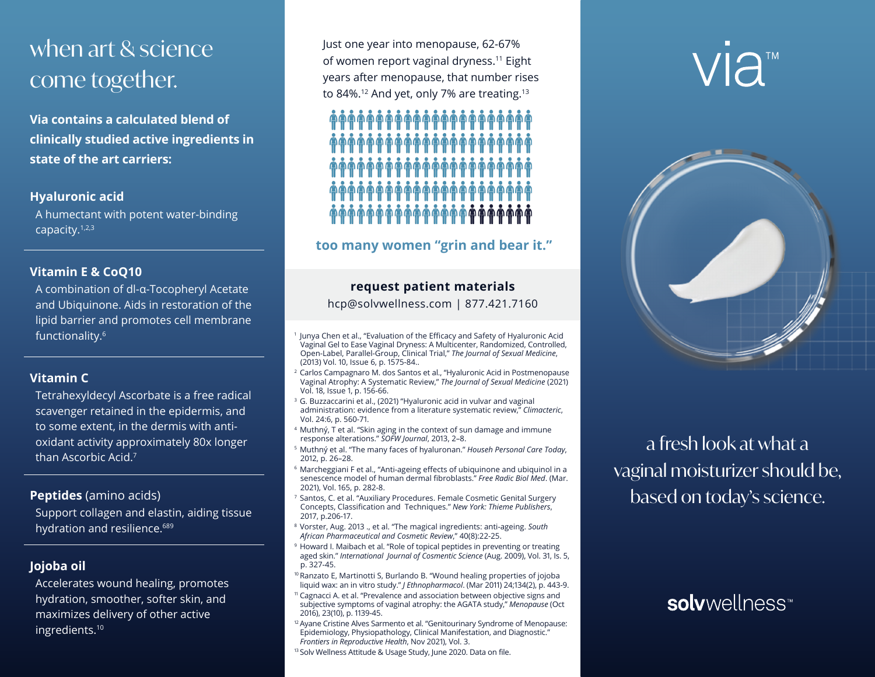# when art & science come together.

**Via contains a calculated blend of clinically studied active ingredients in state of the art carriers:** 

### **Hyaluronic acid**

A humectant with potent water-binding capacity.1,2,3

## **Vitamin E & CoQ10**

A combination of dl-α-Tocopheryl Acetate and Ubiquinone. Aids in restoration of the lipid barrier and promotes cell membrane functionality.6

### **Vitamin C**

Tetrahexyldecyl Ascorbate is a free radical scavenger retained in the epidermis, and to some extent, in the dermis with antioxidant activity approximately 80x longer than Ascorbic Acid.<sup>7</sup>

## **Peptides** (amino acids)

Support collagen and elastin, aiding tissue hydration and resilience.<sup>689</sup>

**Jojoba oil**

Accelerates wound healing, promotes hydration, smoother, softer skin, and maximizes delivery of other active ingredients.10

Just one year into menopause, 62-67% of women report vaginal dryness.11 Eight years after menopause, that number rises to 84%.<sup>12</sup> And yet, only 7% are treating.<sup>13</sup>



## **too many women "grin and bear it."**

## **request patient materials**

hcp@solvwellness.com | 877.421.7160

- <sup>1</sup> Junya Chen et al., "Evaluation of the Efficacy and Safety of Hyaluronic Acid Vaginal Gel to Ease Vaginal Dryness: A Multicenter, Randomized, Controlled, Open-Label, Parallel-Group, Clinical Trial," *The Journal of Sexual Medicine*, (2013) Vol. 10, Issue 6, p. 1575-84..
- <sup>2</sup> Carlos Campagnaro M. dos Santos et al., "Hyaluronic Acid in Postmenopause Vaginal Atrophy: A Systematic Review," *The Journal of Sexual Medicine* (2021) Vol. 18, Issue 1, p. 156-66.
- <sup>3</sup> G. Buzzaccarini et al., (2021) "Hyaluronic acid in vulvar and vaginal administration: evidence from a literature systematic review," *Climacteric*, Vol. 24:6, p. 560-71.
- <sup>4</sup> Muthný, T et al. "Skin aging in the context of sun damage and immune response alterations." *SOFW Journal*, 2013, 2–8.
- <sup>5</sup> Muthný et al. "The many faces of hyaluronan." *Househ Personal Care Today*, 2012, p. 26–28.
- <sup>6</sup> Marcheggiani F et al., "Anti-ageing effects of ubiquinone and ubiquinol in a senescence model of human dermal fibroblasts." *Free Radic Biol Med*. (Mar. 2021), Vol. 165, p. 282-8.
- <sup>7</sup> Santos, C. et al. "Auxiliary Procedures. Female Cosmetic Genital Surgery Concepts, Classification and Techniques." *New York: Thieme Publishers*, 2017, p.206-17.
- <sup>8</sup> Vorster, Aug. 2013 ., et al. "The magical ingredients: anti-ageing. *South African Pharmaceutical and Cosmetic Review*," 40(8):22-25.
- <sup>9</sup> Howard I. Maibach et al. "Role of topical peptides in preventing or treating aged skin." *International Journal of Cosmentic Science* (Aug. 2009), Vol. 31, Is. 5, p. 327-45.
- <sup>10</sup> Ranzato E, Martinotti S, Burlando B. "Wound healing properties of jojoba liquid wax: an in vitro study." *J Ethnopharmacol*. (Mar 2011) 24;134(2), p. 443-9.
- <sup>11</sup> Cagnacci A. et al. "Prevalence and association between objective signs and subjective symptoms of vaginal atrophy: the AGATA study," *Menopause* (Oct 2016), 23(10), p. 1139-45.
- <sup>12</sup> Ayane Cristine Alves Sarmento et al. "Genitourinary Syndrome of Menopause: Epidemiology, Physiopathology, Clinical Manifestation, and Diagnostic." *Frontiers in Reproductive Health*, Nov 2021), Vol. 3.
- 13 Solv Wellness Attitude & Usage Study, June 2020. Data on file.

VIA<sup>™</sup>



a fresh look at what a vaginal moisturizer should be, based on today's science.

## solvwellness<sup>™</sup>